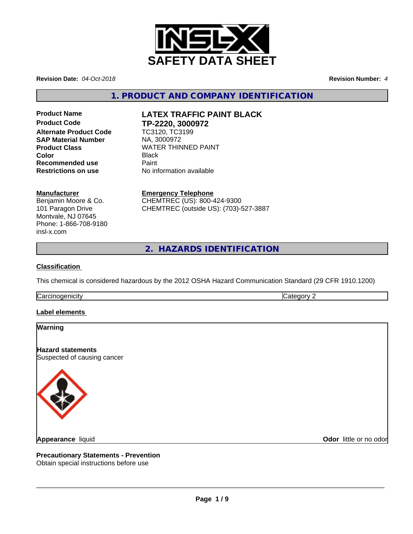

**Revision Date:** *04-Oct-2018* **Revision Number:** *4*

**1. PRODUCT AND COMPANY IDENTIFICATION**

# **Product Code TP-2220, 3000972 Alternate Product Code TC3120, TC3**<br> **SAP Material Number** NA, 3000972 **SAP Material Number Recommended use** Paint

# **Product Name LATEX TRAFFIC PAINT BLACK**

**Product Class**<br>
Color<br>
Color **Color** Black **Restrictions on use** No information available

# **Manufacturer**

Benjamin Moore & Co. 101 Paragon Drive Montvale, NJ 07645 Phone: 1-866-708-9180 insl-x.com

**Emergency Telephone** CHEMTREC (US): 800-424-9300 CHEMTREC (outside US): (703)-527-3887

**2. HAZARDS IDENTIFICATION**

# **Classification**

This chemical is considered hazardous by the 2012 OSHA Hazard Communication Standard (29 CFR 1910.1200)

**Carcinogenicity** Category 2

# **Label elements**

# **Warning**

**Hazard statements** Suspected of causing cancer



**Odor** little or no odor

**Precautionary Statements - Prevention**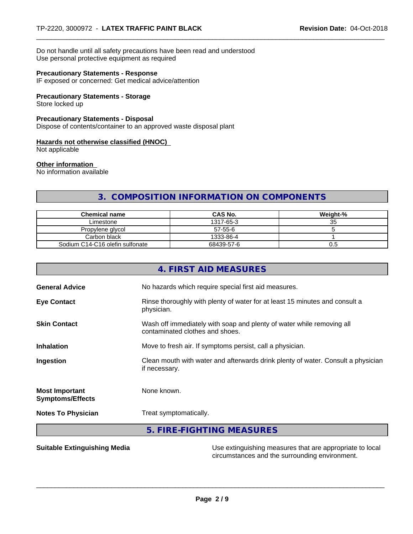Do not handle until all safety precautions have been read and understood Use personal protective equipment as required

## **Precautionary Statements - Response**

IF exposed or concerned: Get medical advice/attention

## **Precautionary Statements - Storage**

Store locked up

# **Precautionary Statements - Disposal**

Dispose of contents/container to an approved waste disposal plant

#### **Hazards not otherwise classified (HNOC)**

Not applicable

## **Other information**

No information available

# **3. COMPOSITION INFORMATION ON COMPONENTS**

| <b>Chemical name</b>            | <b>CAS No.</b> | Weight-% |
|---------------------------------|----------------|----------|
| Limestone                       | 1317-65-3      | 35       |
| Propylene glycol                | 57-55-6        |          |
| Carbon black                    | 1333-86-4      |          |
| Sodium C14-C16 olefin sulfonate | 68439-57-6     | U.5      |

| 4. FIRST AID MEASURES                                                                                    |
|----------------------------------------------------------------------------------------------------------|
| No hazards which require special first aid measures.                                                     |
| Rinse thoroughly with plenty of water for at least 15 minutes and consult a<br>physician.                |
| Wash off immediately with soap and plenty of water while removing all<br>contaminated clothes and shoes. |
| Move to fresh air. If symptoms persist, call a physician.                                                |
| Clean mouth with water and afterwards drink plenty of water. Consult a physician<br>if necessary.        |
| None known.                                                                                              |
| Treat symptomatically.                                                                                   |
| 5. FIRE-FIGHTING MEASURES                                                                                |
|                                                                                                          |

**Suitable Extinguishing Media** Manual Use extinguishing measures that are appropriate to local circumstances and the surrounding environment.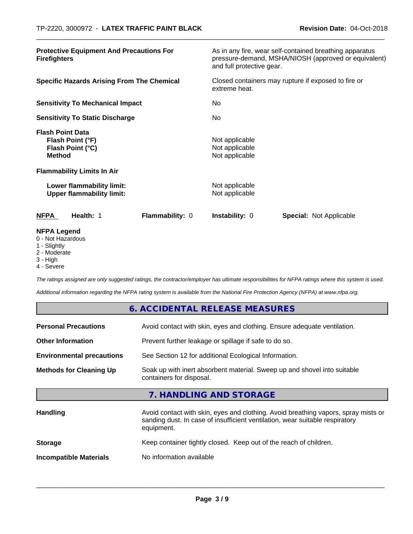| <b>Protective Equipment And Precautions For</b><br><b>Firefighters</b>                                                | As in any fire, wear self-contained breathing apparatus<br>pressure-demand, MSHA/NIOSH (approved or equivalent)<br>and full protective gear. |
|-----------------------------------------------------------------------------------------------------------------------|----------------------------------------------------------------------------------------------------------------------------------------------|
| <b>Specific Hazards Arising From The Chemical</b>                                                                     | Closed containers may rupture if exposed to fire or<br>extreme heat.                                                                         |
| <b>Sensitivity To Mechanical Impact</b>                                                                               | No.                                                                                                                                          |
| <b>Sensitivity To Static Discharge</b>                                                                                | No.                                                                                                                                          |
| <b>Flash Point Data</b><br>Flash Point (°F)<br>Flash Point (°C)<br><b>Method</b><br><b>Flammability Limits In Air</b> | Not applicable<br>Not applicable<br>Not applicable                                                                                           |
| Lower flammability limit:<br><b>Upper flammability limit:</b>                                                         | Not applicable<br>Not applicable                                                                                                             |
| Health: 1<br>Flammability: 0<br><b>NFPA</b>                                                                           | <b>Instability: 0</b><br><b>Special: Not Applicable</b>                                                                                      |
| <b>NFPA Legend</b><br>0 - Not Hazardous                                                                               |                                                                                                                                              |

- 1 Slightly
- 2 Moderate
- 3 High
- 4 Severe

*The ratings assigned are only suggested ratings, the contractor/employer has ultimate responsibilities for NFPA ratings where this system is used.*

*Additional information regarding the NFPA rating system is available from the National Fire Protection Agency (NFPA) at www.nfpa.org.*

|                                  | 6. ACCIDENTAL RELEASE MEASURES                                                                                                                                                   |  |
|----------------------------------|----------------------------------------------------------------------------------------------------------------------------------------------------------------------------------|--|
| <b>Personal Precautions</b>      | Avoid contact with skin, eyes and clothing. Ensure adequate ventilation.                                                                                                         |  |
| <b>Other Information</b>         | Prevent further leakage or spillage if safe to do so.                                                                                                                            |  |
| <b>Environmental precautions</b> | See Section 12 for additional Ecological Information.                                                                                                                            |  |
| <b>Methods for Cleaning Up</b>   | Soak up with inert absorbent material. Sweep up and shovel into suitable<br>containers for disposal.                                                                             |  |
|                                  | 7. HANDLING AND STORAGE                                                                                                                                                          |  |
| <b>Handling</b>                  | Avoid contact with skin, eyes and clothing. Avoid breathing vapors, spray mists or<br>sanding dust. In case of insufficient ventilation, wear suitable respiratory<br>equipment. |  |
| <b>Storage</b>                   | Keep container tightly closed. Keep out of the reach of children.                                                                                                                |  |
| <b>Incompatible Materials</b>    | No information available                                                                                                                                                         |  |
|                                  |                                                                                                                                                                                  |  |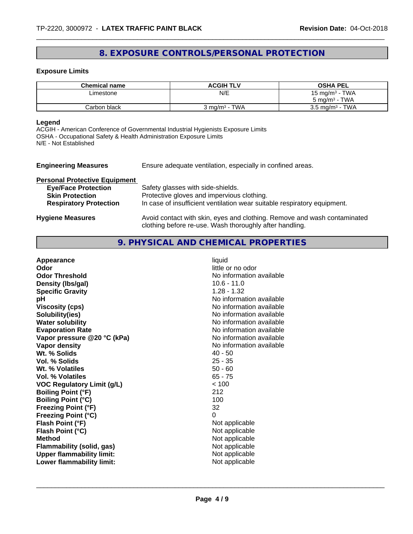# **8. EXPOSURE CONTROLS/PERSONAL PROTECTION**

## **Exposure Limits**

| <b>Chemical name</b> | <b>ACGIH TLV</b> | <b>OSHA PEL</b>            |
|----------------------|------------------|----------------------------|
| Limestone            | N/E              | 15 mg/m <sup>3</sup> - TWA |
|                      |                  | $5 \text{ mg/m}^3$ - TWA   |
| Carbon black         | 3 ma/mª - TWA    | $3.5 \text{ mg/m}^3$ - TWA |

# **Legend**

ACGIH - American Conference of Governmental Industrial Hygienists Exposure Limits OSHA - Occupational Safety & Health Administration Exposure Limits N/E - Not Established

| <b>Engineering Measures</b>          | Ensure adequate ventilation, especially in confined areas.                                                                          |
|--------------------------------------|-------------------------------------------------------------------------------------------------------------------------------------|
| <b>Personal Protective Equipment</b> |                                                                                                                                     |
| <b>Eye/Face Protection</b>           | Safety glasses with side-shields.                                                                                                   |
| <b>Skin Protection</b>               | Protective gloves and impervious clothing.                                                                                          |
| <b>Respiratory Protection</b>        | In case of insufficient ventilation wear suitable respiratory equipment.                                                            |
| <b>Hygiene Measures</b>              | Avoid contact with skin, eyes and clothing. Remove and wash contaminated<br>clothing before re-use. Wash thoroughly after handling. |

# **9. PHYSICAL AND CHEMICAL PROPERTIES**

| Appearance                        | liquid                   |
|-----------------------------------|--------------------------|
| Odor                              | little or no odor        |
| <b>Odor Threshold</b>             | No information available |
| Density (Ibs/gal)                 | $10.6 - 11.0$            |
| <b>Specific Gravity</b>           | $1.28 - 1.32$            |
| рH                                | No information available |
| <b>Viscosity (cps)</b>            | No information available |
| Solubility(ies)                   | No information available |
| <b>Water solubility</b>           | No information available |
| <b>Evaporation Rate</b>           | No information available |
| Vapor pressure @20 °C (kPa)       | No information available |
| Vapor density                     | No information available |
| Wt. % Solids                      | $40 - 50$                |
| Vol. % Solids                     | $25 - 35$                |
| Wt. % Volatiles                   | $50 - 60$                |
| Vol. % Volatiles                  | $65 - 75$                |
| <b>VOC Regulatory Limit (g/L)</b> | < 100                    |
| <b>Boiling Point (°F)</b>         | 212                      |
| <b>Boiling Point (°C)</b>         | 100                      |
| <b>Freezing Point (°F)</b>        | 32                       |
| <b>Freezing Point (°C)</b>        | 0                        |
| Flash Point (°F)                  | Not applicable           |
| Flash Point (°C)                  | Not applicable           |
| <b>Method</b>                     | Not applicable           |
| <b>Flammability (solid, gas)</b>  | Not applicable           |
| <b>Upper flammability limit:</b>  | Not applicable           |
| Lower flammability limit:         | Not applicable           |
|                                   |                          |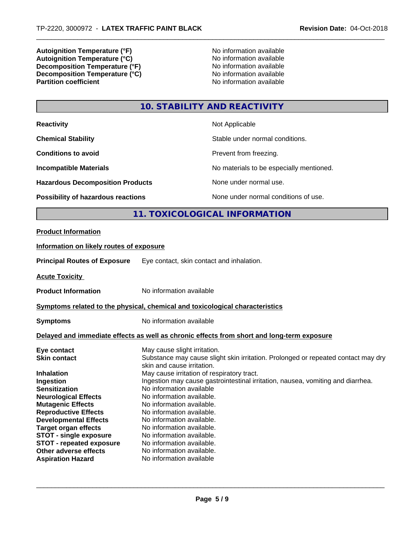**Autoignition Temperature (°F)** No information available **Autoignition Temperature (°C)**<br> **Decomposition Temperature (°F)** No information available **Decomposition Temperature (°F)** No information available<br> **Decomposition Temperature (°C)** No information available **Decomposition Temperature (°C) Partition coefficient** 

# **10. STABILITY AND REACTIVITY**

| <b>Reactivity</b>                         | Not Applicable                           |
|-------------------------------------------|------------------------------------------|
| <b>Chemical Stability</b>                 | Stable under normal conditions.          |
| <b>Conditions to avoid</b>                | Prevent from freezing.                   |
| <b>Incompatible Materials</b>             | No materials to be especially mentioned. |
| <b>Hazardous Decomposition Products</b>   | None under normal use.                   |
| <b>Possibility of hazardous reactions</b> | None under normal conditions of use.     |

# **11. TOXICOLOGICAL INFORMATION**

#### **Product Information**

# **Information on likely routes of exposure**

**Principal Routes of Exposure** Eye contact, skin contact and inhalation.

**Acute Toxicity** 

**Product Information** No information available

#### **<u>Symptoms related to the physical, chemical and toxicological characteristics</u>**

**Symptoms** No information available

# **Delayed and immediate effects as well as chronic effects from short and long-term exposure**

| Eye contact                     | May cause slight irritation.                                                                                    |
|---------------------------------|-----------------------------------------------------------------------------------------------------------------|
| <b>Skin contact</b>             | Substance may cause slight skin irritation. Prolonged or repeated contact may dry<br>skin and cause irritation. |
| <b>Inhalation</b>               | May cause irritation of respiratory tract.                                                                      |
| Ingestion                       | Ingestion may cause gastrointestinal irritation, nausea, vomiting and diarrhea.                                 |
| <b>Sensitization</b>            | No information available                                                                                        |
| <b>Neurological Effects</b>     | No information available.                                                                                       |
| <b>Mutagenic Effects</b>        | No information available.                                                                                       |
| <b>Reproductive Effects</b>     | No information available.                                                                                       |
| <b>Developmental Effects</b>    | No information available.                                                                                       |
| Target organ effects            | No information available.                                                                                       |
| <b>STOT - single exposure</b>   | No information available.                                                                                       |
| <b>STOT - repeated exposure</b> | No information available.                                                                                       |
| Other adverse effects           | No information available.                                                                                       |
| <b>Aspiration Hazard</b>        | No information available                                                                                        |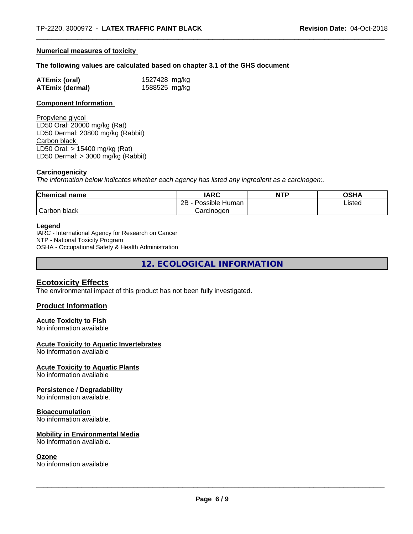#### **Numerical measures of toxicity**

#### **The following values are calculated based on chapter 3.1 of the GHS document**

| <b>ATEmix (oral)</b>   | 1527428 mg/kg |
|------------------------|---------------|
| <b>ATEmix (dermal)</b> | 1588525 mg/kg |

#### **Component Information**

Propylene glycol LD50 Oral: 20000 mg/kg (Rat) LD50 Dermal: 20800 mg/kg (Rabbit) Carbon black LD50 Oral: > 15400 mg/kg (Rat) LD50 Dermal: > 3000 mg/kg (Rabbit)

#### **Carcinogenicity**

*The information below indicateswhether each agency has listed any ingredient as a carcinogen:.*

| <b>Chemical name</b>      | <b>IARC</b>               | <b>NTP</b> | OSHA   |
|---------------------------|---------------------------|------------|--------|
|                           | .<br>2B<br>Possible Human |            | Listed |
| $\sim$<br>black<br>Carbon | Carcinoɑen                |            |        |

#### **Legend**

IARC - International Agency for Research on Cancer NTP - National Toxicity Program OSHA - Occupational Safety & Health Administration

**12. ECOLOGICAL INFORMATION**

# **Ecotoxicity Effects**

The environmental impact of this product has not been fully investigated.

#### **Product Information**

#### **Acute Toxicity to Fish**

No information available

#### **Acute Toxicity to Aquatic Invertebrates**

No information available

#### **Acute Toxicity to Aquatic Plants**

No information available

#### **Persistence / Degradability**

No information available.

## **Bioaccumulation**

No information available.

#### **Mobility in Environmental Media**

No information available.

#### **Ozone**

No information available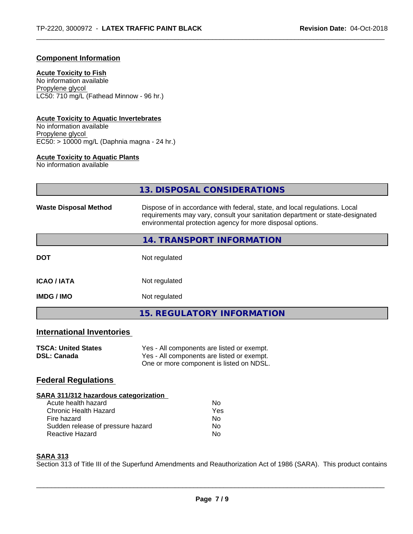# **Component Information**

## **Acute Toxicity to Fish**

No information available Propylene glycol LC50: 710 mg/L (Fathead Minnow - 96 hr.)

# **Acute Toxicity to Aquatic Invertebrates**

No information available Propylene glycol EC50: > 10000 mg/L (Daphnia magna - 24 hr.)

# **Acute Toxicity to Aquatic Plants**

No information available

|                                                                                                                    | <b>13. DISPOSAL CONSIDERATIONS</b>                                                                                                                                                                                        |
|--------------------------------------------------------------------------------------------------------------------|---------------------------------------------------------------------------------------------------------------------------------------------------------------------------------------------------------------------------|
| <b>Waste Disposal Method</b>                                                                                       | Dispose of in accordance with federal, state, and local regulations. Local<br>requirements may vary, consult your sanitation department or state-designated<br>environmental protection agency for more disposal options. |
|                                                                                                                    | <b>14. TRANSPORT INFORMATION</b>                                                                                                                                                                                          |
| <b>DOT</b>                                                                                                         | Not regulated                                                                                                                                                                                                             |
| <b>ICAO / IATA</b>                                                                                                 | Not regulated                                                                                                                                                                                                             |
| <b>IMDG / IMO</b>                                                                                                  | Not regulated                                                                                                                                                                                                             |
|                                                                                                                    | <b>15. REGULATORY INFORMATION</b>                                                                                                                                                                                         |
| <b>International Inventories</b>                                                                                   |                                                                                                                                                                                                                           |
| <b>TSCA: United States</b><br><b>DSL: Canada</b>                                                                   | Yes - All components are listed or exempt.<br>Yes - All components are listed or exempt.<br>One or more component is listed on NDSL.                                                                                      |
| <b>Federal Regulations</b>                                                                                         |                                                                                                                                                                                                                           |
| <b>SARA 311/312 hazardous categorization</b><br>Acute health hazard<br><b>Chronic Health Hazard</b><br>Fire hazard | <b>No</b><br>Yes<br>No                                                                                                                                                                                                    |

## **SARA 313**

Section 313 of Title III of the Superfund Amendments and Reauthorization Act of 1986 (SARA). This product contains

Sudden release of pressure hazard No Reactive Hazard No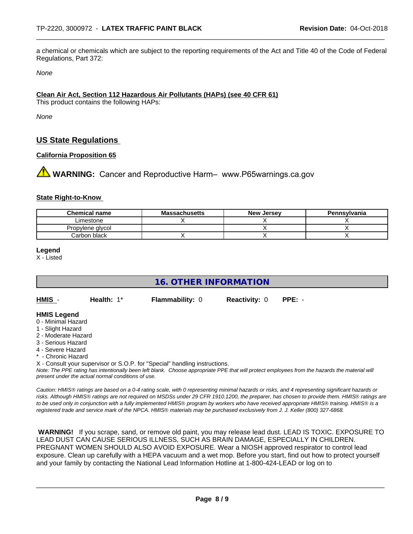a chemical or chemicals which are subject to the reporting requirements of the Act and Title 40 of the Code of Federal Regulations, Part 372:

*None*

## **Clean Air Act,Section 112 Hazardous Air Pollutants (HAPs) (see 40 CFR 61)**

This product contains the following HAPs:

*None*

# **US State Regulations**

# **California Proposition 65**

**WARNING:** Cancer and Reproductive Harm– www.P65warnings.ca.gov

## **State Right-to-Know**

| <b>Chemical name</b> | <b>Massachusetts</b> | <b>New Jersey</b> | Pennsylvania |
|----------------------|----------------------|-------------------|--------------|
| Limestone            |                      |                   |              |
| Propylene alvcol     |                      |                   |              |
| Carbon black         |                      |                   |              |

#### **Legend**

X - Listed

# **16. OTHER INFORMATION**

**HMIS** - **Health:** 1\* **Flammability:** 0 **Reactivity:** 0 **PPE:** -

#### **HMIS Legend**

- 0 Minimal Hazard
- 1 Slight Hazard
- 2 Moderate Hazard
- 3 Serious Hazard
- 4 Severe Hazard
- Chronic Hazard
- X Consult your supervisor or S.O.P. for "Special" handling instructions.

*Note: The PPE rating has intentionally been left blank. Choose appropriate PPE that will protect employees from the hazards the material will present under the actual normal conditions of use.*

*Caution: HMISÒ ratings are based on a 0-4 rating scale, with 0 representing minimal hazards or risks, and 4 representing significant hazards or risks. Although HMISÒ ratings are not required on MSDSs under 29 CFR 1910.1200, the preparer, has chosen to provide them. HMISÒ ratings are to be used only in conjunction with a fully implemented HMISÒ program by workers who have received appropriate HMISÒ training. HMISÒ is a registered trade and service mark of the NPCA. HMISÒ materials may be purchased exclusively from J. J. Keller (800) 327-6868.*

 **WARNING!** If you scrape, sand, or remove old paint, you may release lead dust. LEAD IS TOXIC. EXPOSURE TO LEAD DUST CAN CAUSE SERIOUS ILLNESS, SUCH AS BRAIN DAMAGE, ESPECIALLY IN CHILDREN. PREGNANT WOMEN SHOULD ALSO AVOID EXPOSURE.Wear a NIOSH approved respirator to control lead exposure. Clean up carefully with a HEPA vacuum and a wet mop. Before you start, find out how to protect yourself and your family by contacting the National Lead Information Hotline at 1-800-424-LEAD or log on to